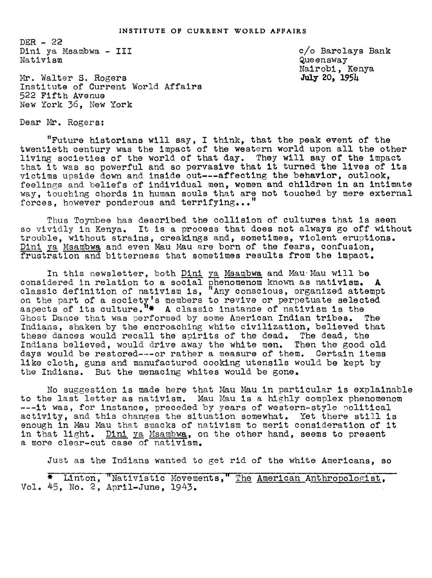$DER - 22$ Dini ya Msambwa - III Nativism

Mr. Walter S. Rogers Institute of Current World Affairs 522 Fifth Avenue New York 36, New York

Dear Mr. Rogers:

"Future historians will say, I thiuk, that the peak event of the twentieth century was the impact of the western world upon all the other living societies of the world of that day. They will say of the impact that it was so powerful and so pervasive that it turned the lives of its victims upside down and inside out---affecting the behavior, outlook, feelings and beliefs of individual men, women and children in an intimate way, touching chords in human souls that are not touched by mere external forces, however ponderous and terrifying...'

Thus Toynbee has described the collision of cultures that is seen so vividly in Kenya. It is a process that does not always go off without trouble, without stralns, creakiugs and, sometimes, violent eruptions. Dini ya Msambwa and even Mau Mau are born of the fears, confusion, frustration and bitterness that sometimes results from the impact.

In this newsletter, both Dini ya Msambwa and Mau Mau will be considered in relation to a social phenomenom known as nativism. A classic definition of nativism is, "Any conscious, organized attempt om the part of a society's members to revive or perpetuate selected aspects of its culture." $*$  A classic instance of nativism is the Ghost Daace that was performed by some American Indian tribes. The Indians, shaken by the encroaching white civilization, believed that these dances would recall the spirits of the dead. The dead, the Indians believed, would drive away the white men. Them the good old days would be restored --- or rather a measure of them. Certain items like cloth, guns and manufactured cooking utensils would be kept by the Indians. But the menacing whites would be gone.

No suggestion is made here that Mau Mau in particular is explainable to the last letter as nativism. Mau Mau is a highly complex phenomenon ---it was, for instance, preceded by years of western-style political activity, and this changes the situation somewhat. Yet there still is enough in Mau Mau that smacks of nativism to merit consideration of it in that light. Dini ya Msambwa, on the other hand, seems to present a more clear-cut case of nativism.

Just as the Indians wanted to get rid of the white Americans, so

\* Linton, "Nativistic Movements," The American Anthropologist, Vol. 45, No. 2, April-June, 1943.

c/o Barclays Bank Queensway Nairobi, Kenya July 20, 1954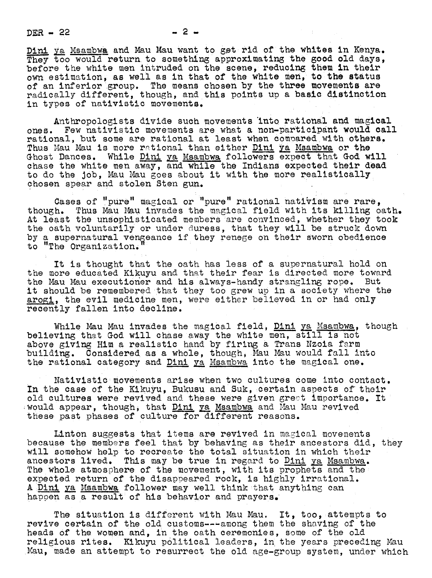$DER - 22$   $- 2$ 

Dini ya Msambwa and Mau Mau want to get rid of the whites in Kenya. They too would return to something approximating the good old days, before the white men intruded on the scene, reducing them in their own estimation, as well as in that of the white men, to the status of an inferior group. The means chosen by the three movements are radically different, though, and this points up a basic distinction in types of nativistic movements.

Anthropologists divide such movements into rational and magical ones. Few nativistic movements are what a non-participant would call ones. Few nativistic movements are what a non-participant would can rational, but some are rational at least when compared with others.<br>Thus Mau Mau is more rational than either <u>Dini ya Msambwa</u> or the<br>Ghost Dances – Whil Ghost Dances. While Dini ya Msambwa followers expect that God will chase the white men away, and while the Indians expected their dead to do the Job, Msu Mau goes about it with the more realistically chosen spear and stolen Sten gun.

Cases of "pure" magical or "pure" rational nativism are rare, though. Thus Mau Mau invades the magical field with its killing oath. At least the unsophisticated members are convinced, whether they took the oath voluntarily or under duress, that they will be struck down by a supernatural vengeance if they renege on their sworn obedience to "The Organization."

It is thought that the oath has less of a supernatural hold on the more educated Kikuyu and that their fear is directed more toward the Mau Mau executioner and his always-handy strangling rope. But it should be remembered that they too grew up in a society where the arogi, the evil medicine men, were either believed in or had only recently fallen into decline.

While Mau Mau invades the magical field, Dini ya Msambwa, though believing that God will chase away the white men, still is not beileving diate dod will chase away the white men, still is hot<br>above giving Him a realistic hand by firing a Trans Nzoia farm<br>building. Considered as a whole, though, Mau Mau would fall into building. Considered as a whole, though, Mau Mau would fall into the rational category and Dini ya Msambwa into the magical one.

Nativistic movements arise when two cultures come into contact. In the case of the Kikuyu, Bukusu and Suk, certain aspects of their old cultures were revived and these were given great importance. It would appear, though, that Dini ya Msambwa and Mau Mau revived these past phases of culture for different reasons.

Linton suggests that items are revived in magical movements because the members feel that by behaving as their ancestors did, they will somehow help to recreate the total situation in which their ancestors lived. This may be true in regard to Dini ya Msambwa. The Whole atmosphere of the movement, with its prophets and the expected return of the disappeared rock, is highly irrational. A Dini ya Msambwa follower may well think that anything can happen as a result of his behavior and prayers.

The situation is different with Mau Mau. It, too, attempts to revive certain of the old customs---among them the shaving of the heads of the women and, in the oath ceremonies, some of the old religious rites. Kikuyu political leaders, in the years preceding Mau Mau, made an attempt to resurrect the old age-group system, under which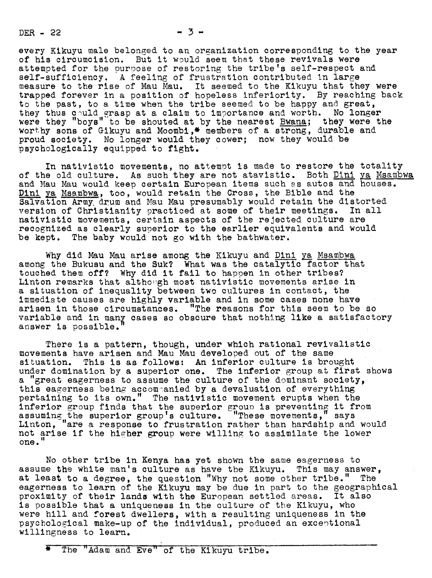DER – 22  $-3-$ 

every Kikuyu male belonged to an organization corresponding to the year of his circumcision. But it would seem that these revivals were attempted for the purpose of restoring the tribe's self-respect and self-sufficiency. A feeling of frustration contributed in large measure to the rise of Mau Mau. It seemed to the Kikuyu that they were trapped forever in a position of hopeless inferiority. By reaching back to the past, to a time when the tribe seemed to be happy and great, they thus could grasp at a claim to importance and worth. No longer were they "boys" to be shouted at by the nearest **Bwana;** they were the worthy sons of Gikuyu and Moombi,  $*$  members of a strong, durable and proud society. No longer woUld they cower; now they Would be psychologically equipped to fight.

In nativistic movements, no attempt is made to restore the totality of the old culture. As such they are not atavistic. Both <u>Dini ya Msambwa</u> and Mau Mau would keep certain European items such as autos and houses. Dini ya Msambwa, too, would retain the Cross, the Bible and the Salvation Army drum and Nau Mau presumably would retain the distorted version of Christianity practiced at some of their meetings. In all nativistic movements, certain aspects of the rejected colture are recognized as Clearly superior to the earlier equivalents and would be kept. The baby would not go with the bathwater.

Why did Mau Mau arise among the Kikuyu and Dini ya Msambwa among the Bukusu and the Suk? What was the catalytic factor that touched them off? Why did it fail to happen in other tribes? Linton remarks that althogh most nativistic movements arise in a situation of inequality between two cultures in contact, the immediate causes are highly variable and in some cases none have arisen in those circumstances. "The reasons for this seem to be so variable and in many cases so obscure that nothing like a satisfactory answer is possible.

There is a pattern, though, under which rational revivalistic movements have arisen and Mau Mau developed out of the same situation. This is as follows: An inferior culture is brought under domination by a superior one. The inferior group at first shows a "great eagerness to assume the culture of the dominant society, this eagerness being accompanied by a devaluation of everything pertaining to its own." The nativistic movement erupts when the inferior group finds that the suoerior grouo is preventing, it from assuming the superior group's culture. "These movements," says Linton, "are a response to frustration rather than hardship and would not arise if the higher group were willing to assimilate the lower one.

No other tribe in Kenya has yet shown the same eagerness to assume the White man's culture as have the Kikuyu. This may answer, at least to a degree, the question "Why not some other tribe." The eagerness to learn of the Kikuyu may be due in part to the geographical proximity of their lands with the European settled areas. It also is possible that a uniqueness in the culture of the Kikuyu, who were hill and forest dwellers, with a resulting uniqueness in the psychological make-up of the individual, produced an exceptional willingness to learn.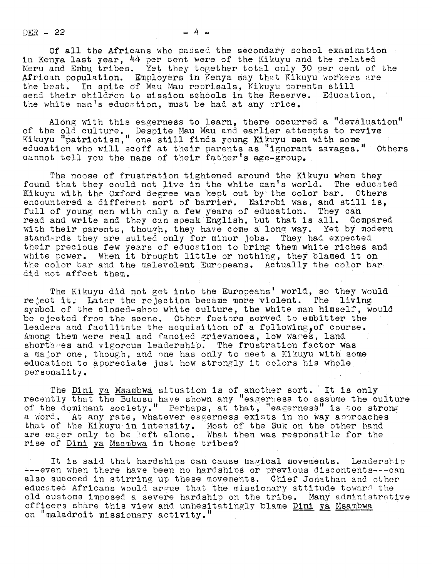$DER - 22$   $- 4$ 

Of all the Africans who passed the secondary school examination in Kenya last year, 44 per cent were of the Kikuyu and the related Meru and Embu tribes. Yet they together total only 30 per cent of the African population. Employers in Kenya say that Kikuyu workers are the best. In spite of Mau Mau reprisals, Kikuyu parents still send their children to mission schools in the Reserve. Education. send their children to mission schools in the Reserve. the white man's educstion, must be had at any price.

Along with this eagerness to learn, there occurred a "devaluation" of the old culture. Despite Mau Mau and earlier attempts to revive Kikuyu "patriotism, one still finds young Kikuyu men with some education who will scoff at their parents as "ignorant savages." Others cannot tell you the name of their father's age-group.

The noose of frustration tightened around the Kikuyu when they found that they could not live in the white man's world. The educated Kikuyu with the Oxford degree was kept out by the color bar. Others encountered a different sort of barrier. Nairobi was, and still is, full of young men with only a few years of education. They can<br>read and write and they can speak English, but that is all. Compared with their parents, though, they have come a long way. Yet by modern stand $\cdot$ rds they are suited only for minor jobs. They had expected their precious few years of education to bring them white riches and white power. When it brought little or nothing, they blamed it on the color bar and the malevolent Europeans. Actually the color bar. did not affect them.

The Kikuyu did not get into the Europeans' world, so they would reject it. Later the rejection became more violent. The living symbol of the closed-shoo white culture, the white man himself, would be ejected from the scene. Other factors served to embitter the leaders and facilitate the acquisition of a following. of course. Among them were real and fancied grievances, low wares, land shortages and vigorous leadership. The frustration factor was a major one, though, and one has only to meet a Kikuyu with some education to appreciate just how strongly it colors his whole personality.

The <u>Dini ya Msambwa</u> situation is of another sort. It is only recently that the Bukusu have shown any "eagerness to assume the culture of the dominant society." Perhaps, at that, "eagerness" is too strong a word. At any rate, whatever eagerness exists in no way approaches that of the Kikuyu in intensity. Most of the Suk on the other hand are easer only to be left alone. What then was responsible for the rise of <u>Dini ya Msambwa</u> in those tribes?

It is said that hardships can cause magical movements. Leadership ---even when there have been no hardships or previous discontents---can also succeed in stirring up these movements. Chief Jonathan and other educated Africans would argue that the missionary attitude toward the old customs imposed a severe hardship on the tribe. Many administrative officers share this view and unhesitatingly blame Dini ya Msambwa on "maladroit missionary activity."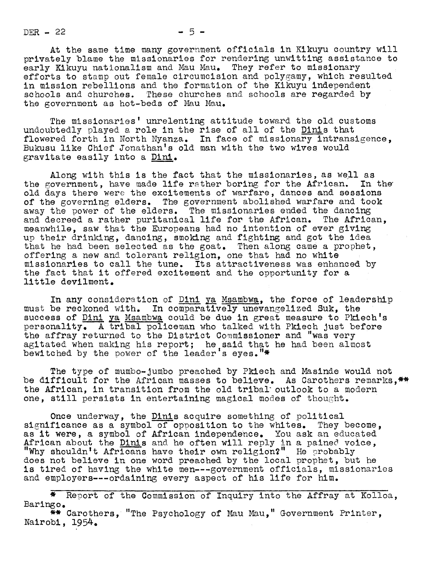DER- 22

At the same time many government officials in Kikuyu country will privately blame, the missionaries for rendering unwitting assistance to early Kikuyu nationalism and Mau Mau. They refer to missionary efforts to stamp out female circumcision and polygamy, which resulted in mission rebellions and the formation of the Kikuyu independent schools and churches. These churches and schools are regarded by the government as hot-beds of Mau Mau.

The missionaries' unrelenting attitude toward the old customs undoubtedly played a role in the rise of all of the Dinls that flowered forth in North Nyanza. In face of missionary intransigence, Bukusu like Chief Jonathan's old man with the two wives would gravitate easily into a Din!.

Along with this is the fact that the missionaries, as well as the government, have made life rather boring for the African. In the old days there were the excitements of warfare, dances and sessions of the governing elders. The government abolished warfare and took away the power of the elders. The missionaries ended the dancing and decreed a rather puritanical life for the African. The African, meanwhile, saw that the Europeans had no intention of ever giving up their drinking, dancing, smoking and fighting and got the idea that he had been selected as the goat. Then along came a prophet, offering a new and tolerant religion, one that had no white missionaries to call the tune. Its attractiveness Was enhanced by the fact that it offered excitement and the opportunity for a little devilment.

In any consideration of Dini ya Msambwa, the force of leadership must be reckoned with. In comparatively unevangelized Suk, the success of <u>Dini ya Msambwa</u> could be due in great measure to Pkiech's personality. A tribal policeman who talked with Pkiech Just before the affray returned to the District Commissioner and "was very agitated when making his report; he said that he had been almost bewitched by the power of the leader's eyes."\*

The type of mumbo-Jumbo preached by Pklech and Masinde would not be difficult for the African masses to believe. As Carothers remarks, \*\* the African, in transition from the old tribal outlook to a modern one, still persists in entertaining magical modes of thought.

Once underway, the Dinis acquire something of political significance as a symbol of opposition to the whites. They become, as it were, a symbol of African independence. You ask an educated African about the Dinis and he often will reply in a pained voice. "Why shouldn't Africans have their own religion?" He probably does not believe in one word preached by the local prophet, but he is tired of having the white men---government officials, missionaries and employers---ordaining every aspect of his life for him.

\* Report of the Commission of Inquiry into the Affray at Kolloa, Baringo.

\*\* Carothers, "The Psychology of Mau Mau, " Government Printer Nairobi, 195#.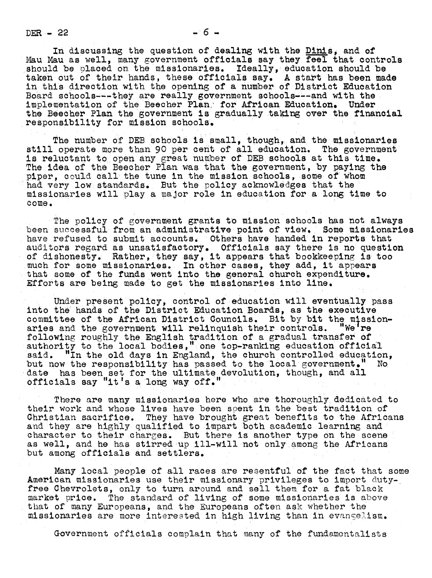$DER - 22$  -6 -

In discussing the question of dealing with the Dinis, and of Mau Mau as well, many government officials say they feel that controls should be placed on the missionaries. Ideally, education should be taken out of their hands, these officials say. A start has been made in this direction with the opening of a number of District Education Board schools---they are really government schools---and with the implementation of the Beecher Plan. for African Education. Under the Beecher Plan the government is gradually taking over the financial responsibility for mission schools.

The number of DEB schools is small, though, and the missionaries still operate more than 90 per cent of all education. The government is reluctant to open any great number of DEB schools at this time. The idea of the Beecher Plan was that the government, by paying the piper, could call the tune in the mission schools, some of whom had very low standards. But the policy acknowledges that the missionaries will play a major role in education for a long time to  $cone.$ 

The policy of government grants to mission schools has not always been successful from an administrative point of view. Some missionaries have refused to submit accounts, Others have handed in reports that auditors regard as unsatisfactorY. Officials say there is no question of dishonesty. Rather, they say, it appears that bookkeeping is too much for some missionaries. In other cases, they add, it appears that some of the funds went into the general church expenditure. Efforts are being made to get the missionaries into line.

Under present policy, control of education will eventually pass into the hands of the District Education Boards, as the executive committee of the African District Councils. Bit by bit the mission-<br>aries and the government will relinquish their controls. "We're Under present policy, control of education will eventually<br>into the hands of the District Education Boards, as the executive<br>committee of the African District Councils. Bit by bit the miss<br>aries and the government will rel authority to the local bodies," one top-ranking education official said. "In the old days in England, the church controlled education, but now the responsibility has passed to the local government." No. date has been set for the ultimate devolution, though, and all 0fficials say "it's a. long. way off."

There are many missionaries here who are thoroughly dedicated to their work and whose lives have been spent in the best tradition of Christlan sacrifice, They have brought great benefits to the Africans and they are highly qualified to impart both academic learning and character to their charges. But there is another type on the scene as well, and he has stirred up ill-will not only among the Africans but among officials and settlers.

Many local people of all races are resentful of the fact that some American missionaries use their missionary privileges to import dutyfree Chevrolets, only to turn around and sell them for a fat black market price. The standard of living of some missionaries is above that of many Europeans, and the Europeans often ask whether the missionaries are more interested in high living than in evangelism.

Government officials complain that many of the fundamentalists.